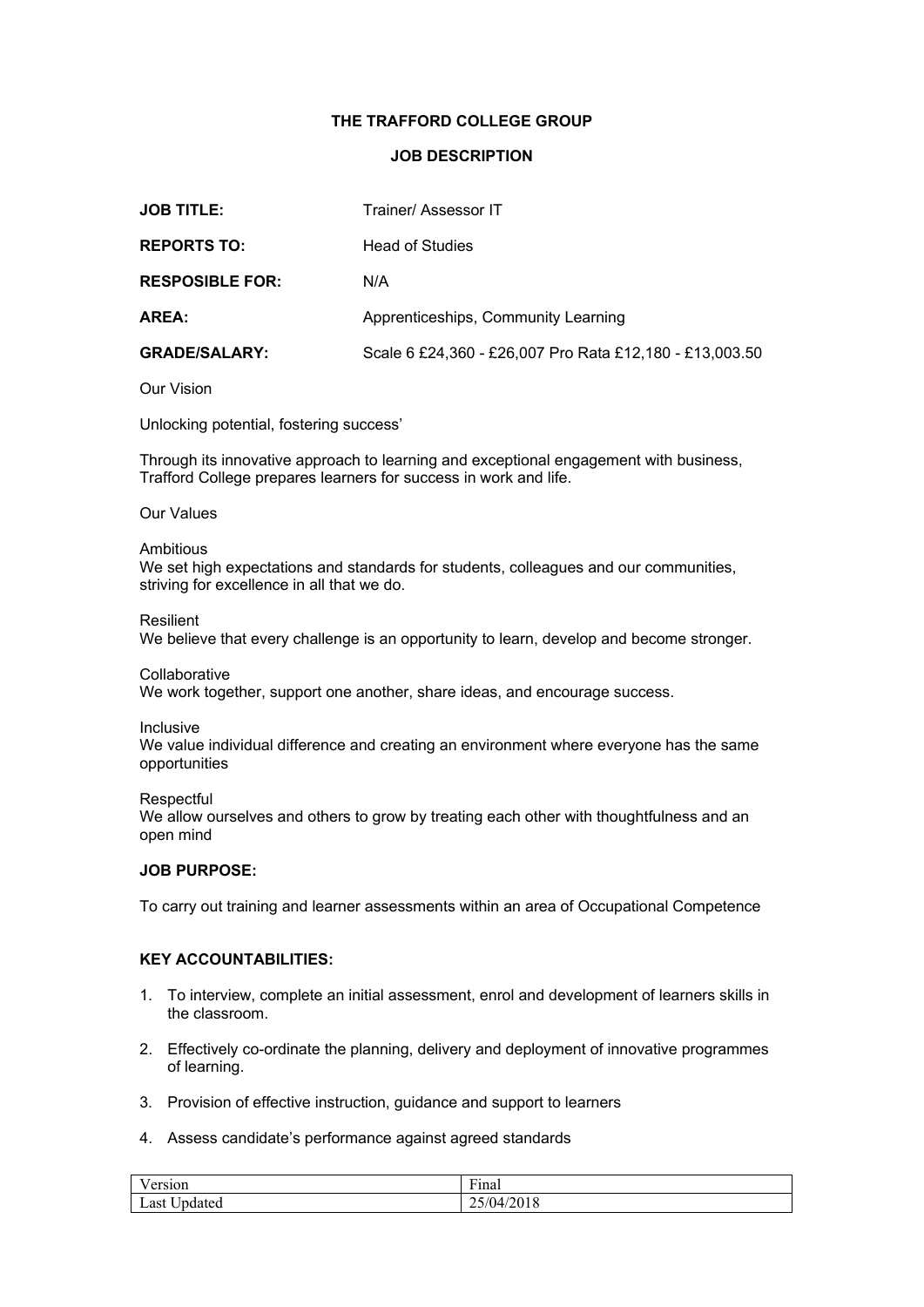# **THE TRAFFORD COLLEGE GROUP**

## **JOB DESCRIPTION**

| <b>JOB TITLE:</b>      | Trainer/ Assessor IT                                    |
|------------------------|---------------------------------------------------------|
| <b>REPORTS TO:</b>     | <b>Head of Studies</b>                                  |
| <b>RESPOSIBLE FOR:</b> | N/A                                                     |
| AREA:                  | Apprenticeships, Community Learning                     |
| <b>GRADE/SALARY:</b>   | Scale 6 £24,360 - £26,007 Pro Rata £12,180 - £13,003.50 |

### Our Vision

Unlocking potential, fostering success'

Through its innovative approach to learning and exceptional engagement with business, Trafford College prepares learners for success in work and life.

#### Our Values

#### Ambitious

We set high expectations and standards for students, colleagues and our communities, striving for excellence in all that we do.  

#### Resilient

We believe that every challenge is an opportunity to learn, develop and become stronger.

#### **Collaborative**

We work together, support one another, share ideas, and encourage success.

#### Inclusive

We value individual difference and creating an environment where everyone has the same opportunities  

#### **Respectful**

We allow ourselves and others to grow by treating each other with thoughtfulness and an open mind

### **JOB PURPOSE:**

To carry out training and learner assessments within an area of Occupational Competence

## **KEY ACCOUNTABILITIES:**

- 1. To interview, complete an initial assessment, enrol and development of learners skills in the classroom.
- 2. Effectively co-ordinate the planning, delivery and deployment of innovative programmes of learning.
- 3. Provision of effective instruction, guidance and support to learners
- 4. Assess candidate's performance against agreed standards

| $\sim$ $\sim$ | $\overline{\phantom{a}}$ |
|---------------|--------------------------|
| ersion        | Finai                    |
| $ -$          | 0.10                     |
| $\sim$        | $\sim$ $\sim$            |
| Last          | /04/2018                 |
| Updated       | اڭ يى                    |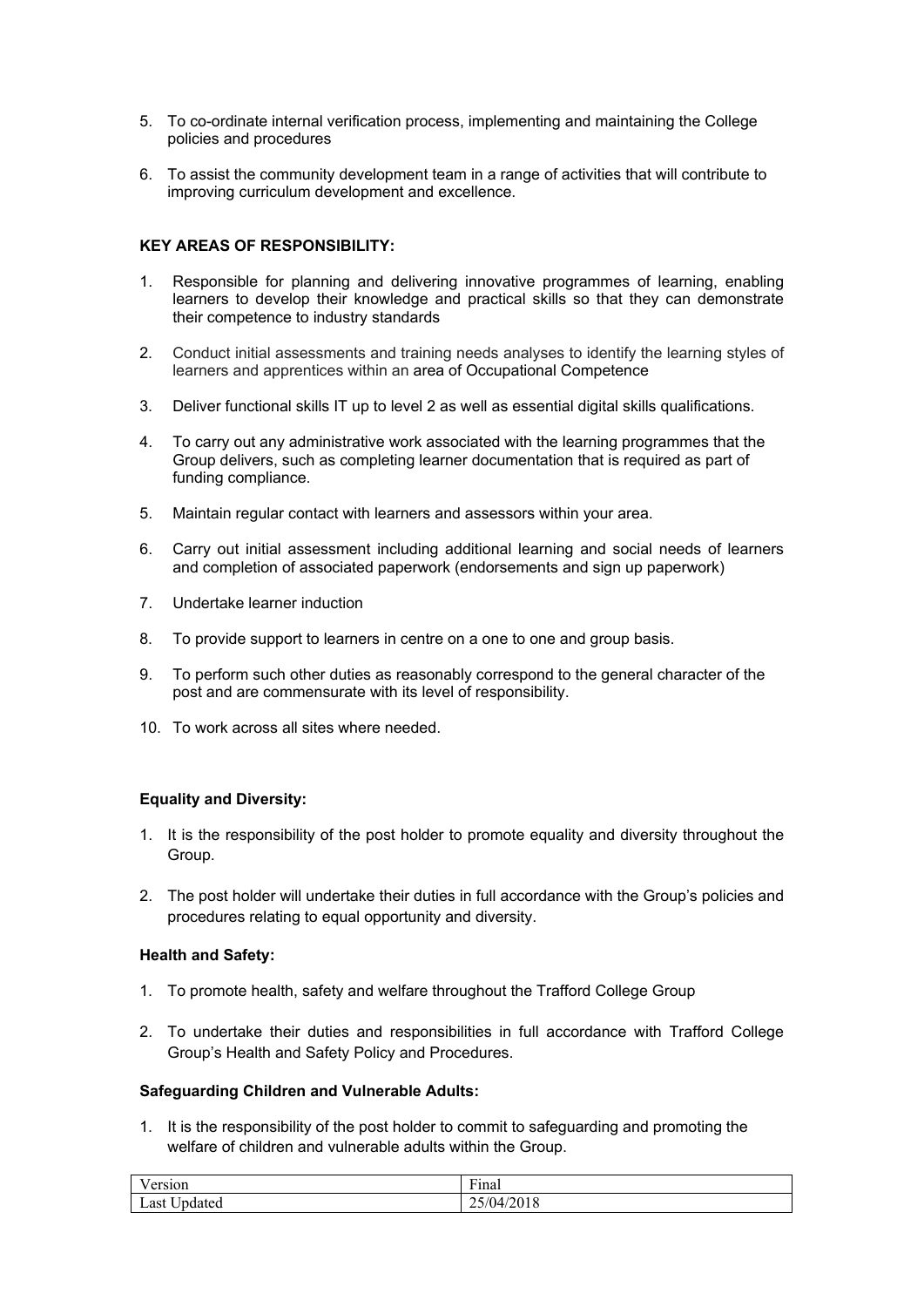- 5. To co-ordinate internal verification process, implementing and maintaining the College policies and procedures
- 6. To assist the community development team in a range of activities that will contribute to improving curriculum development and excellence.

# **KEY AREAS OF RESPONSIBILITY:**

- 1. Responsible for planning and delivering innovative programmes of learning, enabling learners to develop their knowledge and practical skills so that they can demonstrate their competence to industry standards
- 2. Conduct initial assessments and training needs analyses to identify the learning styles of learners and apprentices within an area of Occupational Competence
- 3. Deliver functional skills IT up to level 2 as well as essential digital skills qualifications.
- 4. To carry out any administrative work associated with the learning programmes that the Group delivers, such as completing learner documentation that is required as part of funding compliance.
- 5. Maintain regular contact with learners and assessors within your area.
- 6. Carry out initial assessment including additional learning and social needs of learners and completion of associated paperwork (endorsements and sign up paperwork)
- 7. Undertake learner induction
- 8. To provide support to learners in centre on a one to one and group basis.
- 9. To perform such other duties as reasonably correspond to the general character of the post and are commensurate with its level of responsibility.
- 10. To work across all sites where needed.

# **Equality and Diversity:**

- 1. It is the responsibility of the post holder to promote equality and diversity throughout the Group.
- 2. The post holder will undertake their duties in full accordance with the Group's policies and procedures relating to equal opportunity and diversity.

# **Health and Safety:**

- 1. To promote health, safety and welfare throughout the Trafford College Group
- 2. To undertake their duties and responsibilities in full accordance with Trafford College Group's Health and Safety Policy and Procedures.

### **Safeguarding Children and Vulnerable Adults:**

1. It is the responsibility of the post holder to commit to safeguarding and promoting the welfare of children and vulnerable adults within the Group.

| T                                   | $\mathbf{r}$                                                 |
|-------------------------------------|--------------------------------------------------------------|
| ersion                              | Final                                                        |
| $ -$<br><b>+</b><br>Last<br>Updated | $\mathcal{L}$<br>$\sqrt{2}$<br>- 14<br>201 o<br>$V$ T<br>ا ب |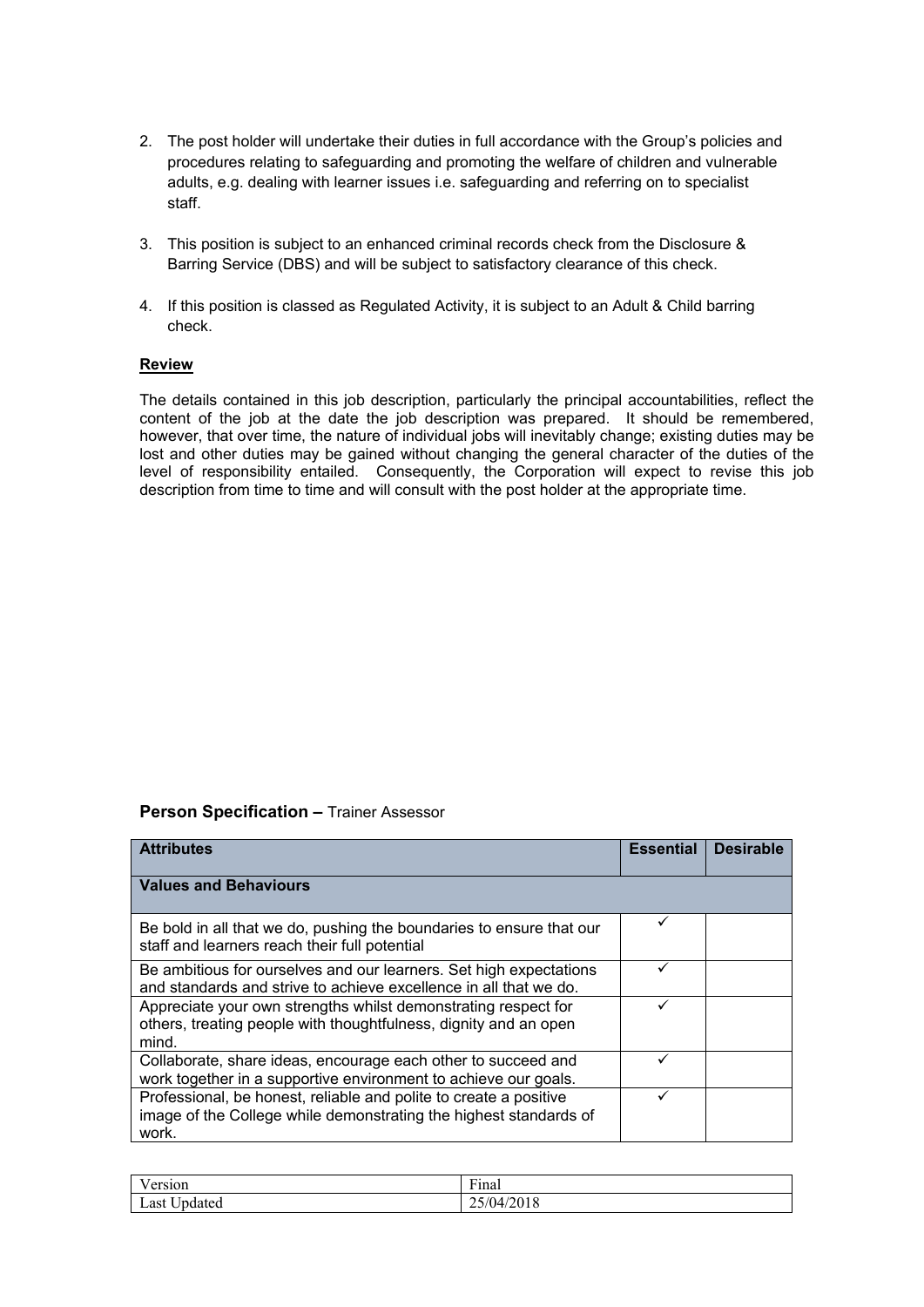- 2. The post holder will undertake their duties in full accordance with the Group's policies and procedures relating to safeguarding and promoting the welfare of children and vulnerable adults, e.g. dealing with learner issues i.e. safeguarding and referring on to specialist staff.
- 3. This position is subject to an enhanced criminal records check from the Disclosure & Barring Service (DBS) and will be subject to satisfactory clearance of this check.
- 4. If this position is classed as Regulated Activity, it is subject to an Adult & Child barring check.

## **Review**

The details contained in this job description, particularly the principal accountabilities, reflect the content of the job at the date the job description was prepared. It should be remembered, however, that over time, the nature of individual jobs will inevitably change; existing duties may be lost and other duties may be gained without changing the general character of the duties of the level of responsibility entailed. Consequently, the Corporation will expect to revise this job description from time to time and will consult with the post holder at the appropriate time.

### **Person Specification –** Trainer Assessor

| <b>Attributes</b>                                                                                                                               | <b>Essential</b> | <b>Desirable</b> |
|-------------------------------------------------------------------------------------------------------------------------------------------------|------------------|------------------|
| <b>Values and Behaviours</b>                                                                                                                    |                  |                  |
| Be bold in all that we do, pushing the boundaries to ensure that our<br>staff and learners reach their full potential                           |                  |                  |
| Be ambitious for ourselves and our learners. Set high expectations<br>and standards and strive to achieve excellence in all that we do.         |                  |                  |
| Appreciate your own strengths whilst demonstrating respect for<br>others, treating people with thoughtfulness, dignity and an open<br>mind.     |                  |                  |
| Collaborate, share ideas, encourage each other to succeed and<br>work together in a supportive environment to achieve our goals.                |                  |                  |
| Professional, be honest, reliable and polite to create a positive<br>image of the College while demonstrating the highest standards of<br>work. |                  |                  |

| T<br>0.480404<br>ет бион                       | $\mathbf{r}$<br>$r1$ nai |
|------------------------------------------------|--------------------------|
| $ -$<br>0 <sup>1</sup><br>Jpdated<br>Last<br>◡ | ıд<br>701 o<br>--        |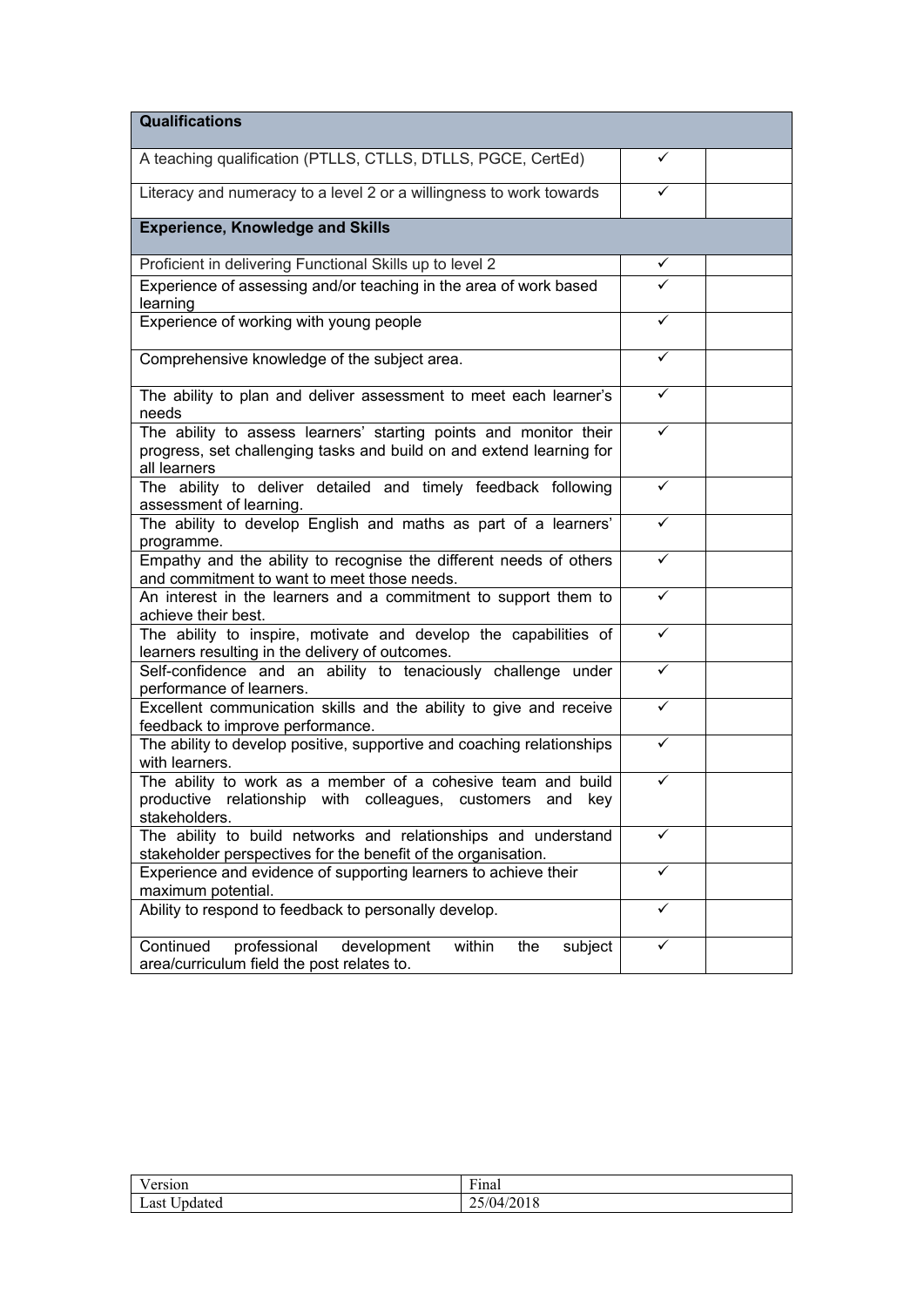| <b>Qualifications</b>                                                                                                                                     |   |  |
|-----------------------------------------------------------------------------------------------------------------------------------------------------------|---|--|
| A teaching qualification (PTLLS, CTLLS, DTLLS, PGCE, CertEd)                                                                                              | ✓ |  |
| Literacy and numeracy to a level 2 or a willingness to work towards                                                                                       | ✓ |  |
| <b>Experience, Knowledge and Skills</b>                                                                                                                   |   |  |
| Proficient in delivering Functional Skills up to level 2                                                                                                  | ✓ |  |
| Experience of assessing and/or teaching in the area of work based<br>learning                                                                             |   |  |
| Experience of working with young people                                                                                                                   | ✓ |  |
| Comprehensive knowledge of the subject area.                                                                                                              | ✓ |  |
| The ability to plan and deliver assessment to meet each learner's<br>needs                                                                                | ✓ |  |
| The ability to assess learners' starting points and monitor their<br>progress, set challenging tasks and build on and extend learning for<br>all learners | ✓ |  |
| The ability to deliver detailed and timely feedback following<br>assessment of learning.                                                                  | ✓ |  |
| The ability to develop English and maths as part of a learners'<br>programme.                                                                             | ✓ |  |
| Empathy and the ability to recognise the different needs of others<br>and commitment to want to meet those needs.                                         | ✓ |  |
| An interest in the learners and a commitment to support them to<br>achieve their best.                                                                    | ✓ |  |
| The ability to inspire, motivate and develop the capabilities of<br>learners resulting in the delivery of outcomes.                                       |   |  |
| Self-confidence and an ability to tenaciously challenge under<br>performance of learners.                                                                 |   |  |
| Excellent communication skills and the ability to give and receive<br>feedback to improve performance.                                                    | ✓ |  |
| The ability to develop positive, supportive and coaching relationships<br>with learners.                                                                  | ✓ |  |
| The ability to work as a member of a cohesive team and build<br>productive relationship with colleagues, customers<br>and key<br>stakeholders.            |   |  |
| The ability to build networks and relationships and understand<br>stakeholder perspectives for the benefit of the organisation.                           | ✓ |  |
| Experience and evidence of supporting learners to achieve their<br>maximum potential.                                                                     | ✓ |  |
| Ability to respond to feedback to personally develop.                                                                                                     | ✓ |  |
| Continued<br>professional<br>within<br>the<br>subject<br>development<br>area/curriculum field the post relates to.                                        | ✓ |  |

| T      | $\mathbf{r}$  |
|--------|---------------|
| ersion | Finai         |
| $ -$   | $\sim$ $\sim$ |
| Last   | 472010        |
| bdated | $\checkmark$  |
| ັ      | $\sim$        |